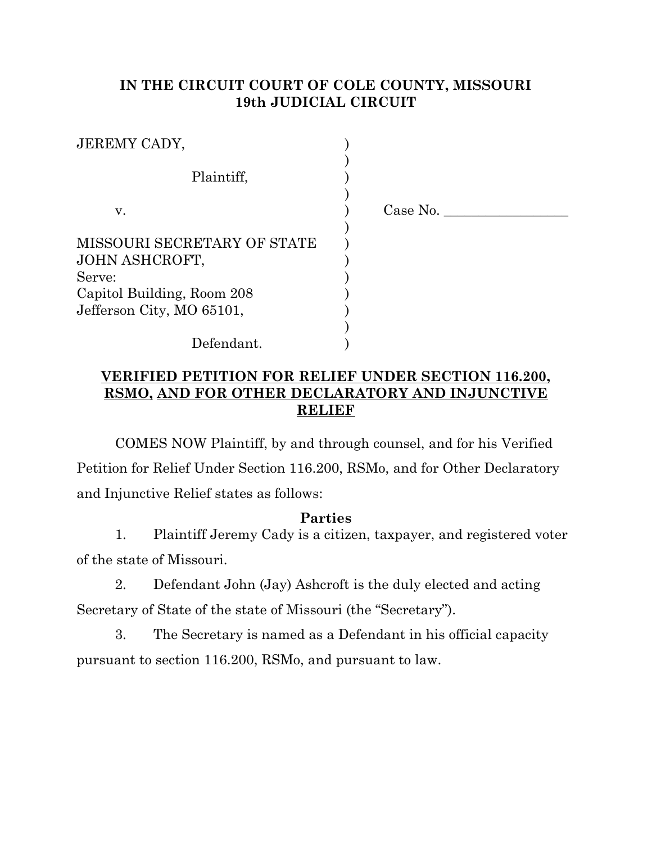## **IN THE CIRCUIT COURT OF COLE COUNTY, MISSOURI 19th JUDICIAL CIRCUIT**

| <b>JEREMY CADY,</b>         |          |
|-----------------------------|----------|
| Plaintiff,                  |          |
| V.                          | Case No. |
|                             |          |
| MISSOURI SECRETARY OF STATE |          |
| JOHN ASHCROFT,              |          |
| Serve:                      |          |
| Capitol Building, Room 208  |          |
| Jefferson City, MO 65101,   |          |
|                             |          |
| Defendant.                  |          |

## **VERIFIED PETITION FOR RELIEF UNDER SECTION 116.200, RSMO, AND FOR OTHER DECLARATORY AND INJUNCTIVE RELIEF**

COMES NOW Plaintiff, by and through counsel, and for his Verified Petition for Relief Under Section 116.200, RSMo, and for Other Declaratory and Injunctive Relief states as follows:

#### **Parties**

1. Plaintiff Jeremy Cady is a citizen, taxpayer, and registered voter of the state of Missouri.

2. Defendant John (Jay) Ashcroft is the duly elected and acting Secretary of State of the state of Missouri (the "Secretary").

3. The Secretary is named as a Defendant in his official capacity pursuant to section 116.200, RSMo, and pursuant to law.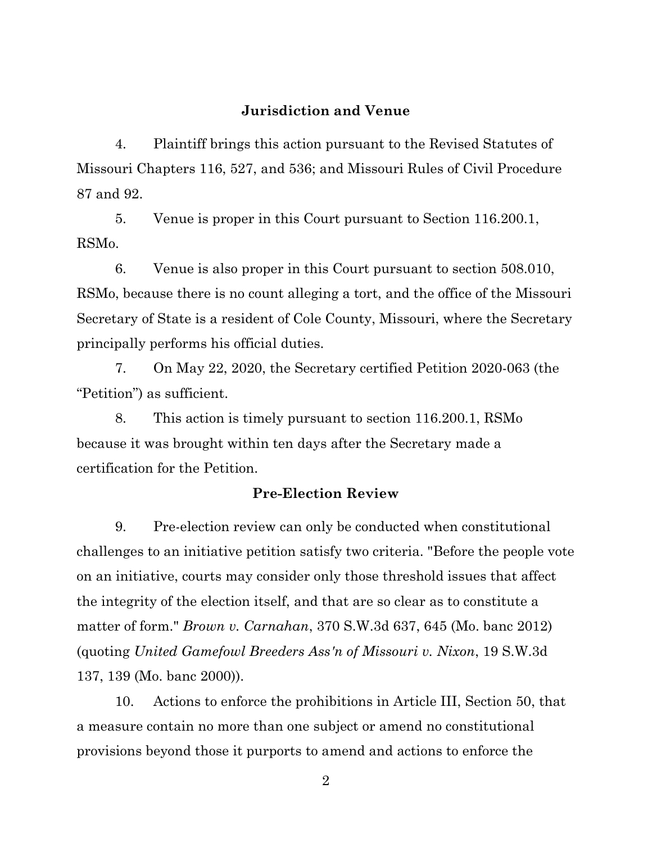### **Jurisdiction and Venue**

4. Plaintiff brings this action pursuant to the Revised Statutes of Missouri Chapters 116, 527, and 536; and Missouri Rules of Civil Procedure 87 and 92.

5. Venue is proper in this Court pursuant to Section 116.200.1, RSMo.

6. Venue is also proper in this Court pursuant to section 508.010, RSMo, because there is no count alleging a tort, and the office of the Missouri Secretary of State is a resident of Cole County, Missouri, where the Secretary principally performs his official duties.

7. On May 22, 2020, the Secretary certified Petition 2020-063 (the "Petition") as sufficient.

8. This action is timely pursuant to section 116.200.1, RSMo because it was brought within ten days after the Secretary made a certification for the Petition.

### **Pre-Election Review**

9. Pre-election review can only be conducted when constitutional challenges to an initiative petition satisfy two criteria. "Before the people vote on an initiative, courts may consider only those threshold issues that affect the integrity of the election itself, and that are so clear as to constitute a matter of form." *Brown v. Carnahan*, 370 S.W.3d 637, 645 (Mo. banc 2012) (quoting *United Gamefowl Breeders Ass'n of Missouri v. Nixon*, 19 S.W.3d 137, 139 (Mo. banc 2000)).

10. Actions to enforce the prohibitions in Article III, Section 50, that a measure contain no more than one subject or amend no constitutional provisions beyond those it purports to amend and actions to enforce the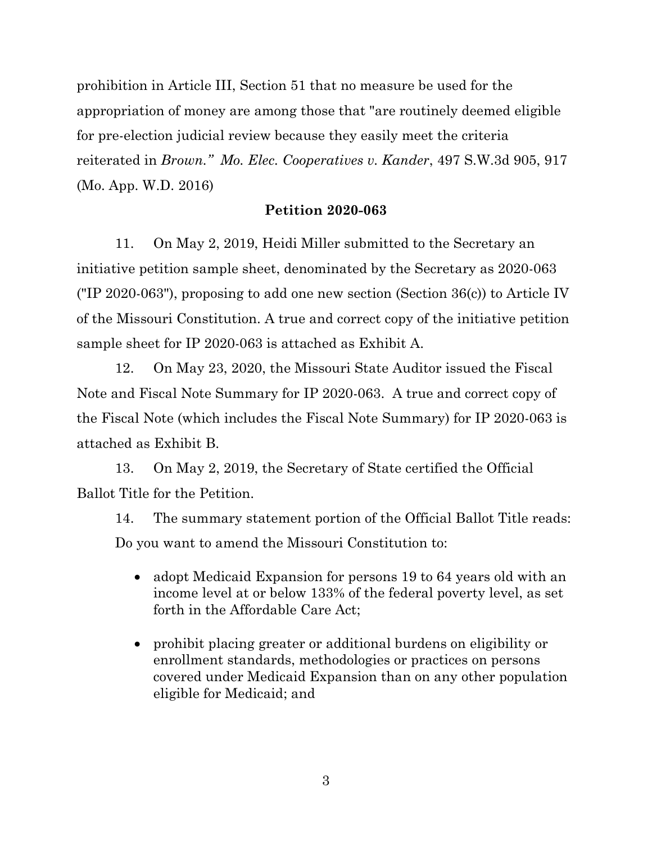prohibition in Article III, Section 51 that no measure be used for the appropriation of money are among those that "are routinely deemed eligible for pre-election judicial review because they easily meet the criteria reiterated in *Brown." Mo. Elec. Cooperatives v. Kander*, 497 S.W.3d 905, 917 (Mo. App. W.D. 2016)

### **Petition 2020-063**

11. On May 2, 2019, Heidi Miller submitted to the Secretary an initiative petition sample sheet, denominated by the Secretary as 2020-063 ("IP 2020-063"), proposing to add one new section (Section 36(c)) to Article IV of the Missouri Constitution. A true and correct copy of the initiative petition sample sheet for IP 2020-063 is attached as Exhibit A.

12. On May 23, 2020, the Missouri State Auditor issued the Fiscal Note and Fiscal Note Summary for IP 2020-063. A true and correct copy of the Fiscal Note (which includes the Fiscal Note Summary) for IP 2020-063 is attached as Exhibit B.

13. On May 2, 2019, the Secretary of State certified the Official Ballot Title for the Petition.

14. The summary statement portion of the Official Ballot Title reads: Do you want to amend the Missouri Constitution to:

- adopt Medicaid Expansion for persons 19 to 64 years old with an income level at or below 133% of the federal poverty level, as set forth in the Affordable Care Act;
- prohibit placing greater or additional burdens on eligibility or enrollment standards, methodologies or practices on persons covered under Medicaid Expansion than on any other population eligible for Medicaid; and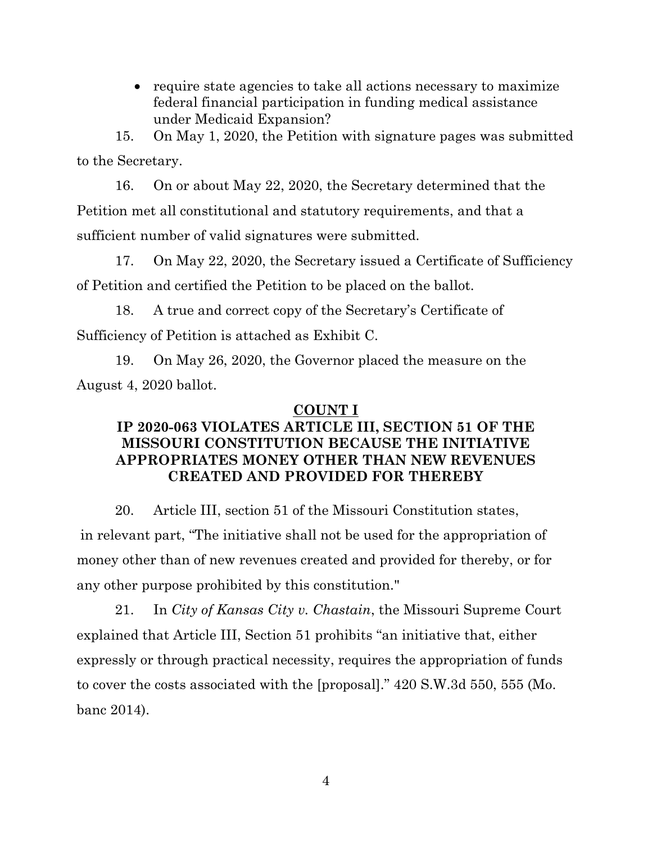• require state agencies to take all actions necessary to maximize federal financial participation in funding medical assistance under Medicaid Expansion?

15. On May 1, 2020, the Petition with signature pages was submitted to the Secretary.

16. On or about May 22, 2020, the Secretary determined that the Petition met all constitutional and statutory requirements, and that a sufficient number of valid signatures were submitted.

17. On May 22, 2020, the Secretary issued a Certificate of Sufficiency of Petition and certified the Petition to be placed on the ballot.

18. A true and correct copy of the Secretary's Certificate of Sufficiency of Petition is attached as Exhibit C.

19. On May 26, 2020, the Governor placed the measure on the August 4, 2020 ballot.

## **COUNT I**

# **IP 2020-063 VIOLATES ARTICLE III, SECTION 51 OF THE MISSOURI CONSTITUTION BECAUSE THE INITIATIVE APPROPRIATES MONEY OTHER THAN NEW REVENUES CREATED AND PROVIDED FOR THEREBY**

20. Article III, section 51 of the Missouri Constitution states, in relevant part, "The initiative shall not be used for the appropriation of money other than of new revenues created and provided for thereby, or for any other purpose prohibited by this constitution."

21. In *City of Kansas City v. Chastain*, the Missouri Supreme Court explained that Article III, Section 51 prohibits "an initiative that, either expressly or through practical necessity, requires the appropriation of funds to cover the costs associated with the [proposal]." 420 S.W.3d 550, 555 (Mo. banc 2014).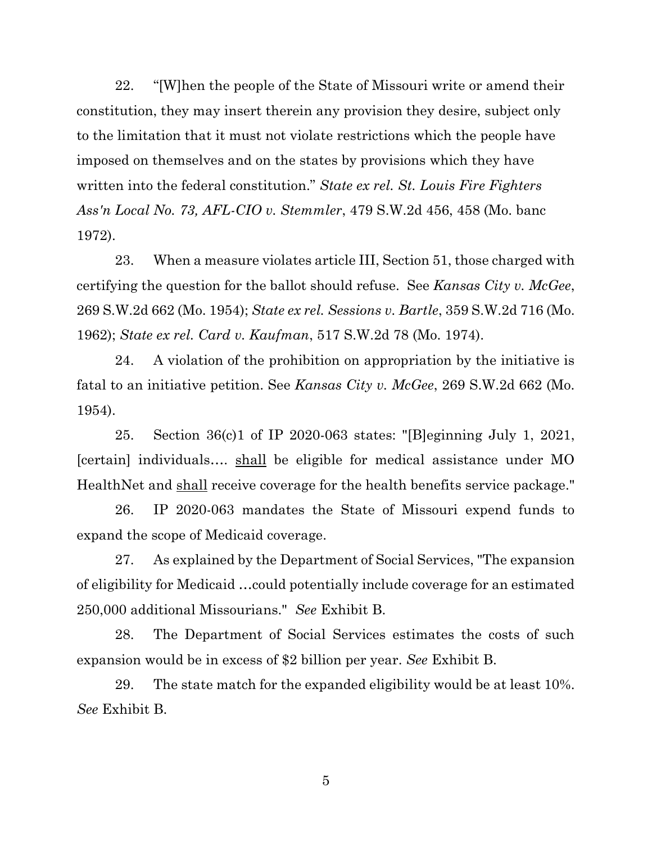22. "[W]hen the people of the State of Missouri write or amend their constitution, they may insert therein any provision they desire, subject only to the limitation that it must not violate restrictions which the people have imposed on themselves and on the states by provisions which they have written into the federal constitution." *State ex rel. St. Louis Fire Fighters Ass'n Local No. 73, AFL-CIO v. Stemmler*, 479 S.W.2d 456, 458 (Mo. banc 1972).

23. When a measure violates article III, Section 51, those charged with certifying the question for the ballot should refuse. See *Kansas City v. McGee*, 269 S.W.2d 662 (Mo. 1954); *State ex rel. Sessions v. Bartle*, 359 S.W.2d 716 (Mo. 1962); *State ex rel. Card v. Kaufman*, 517 S.W.2d 78 (Mo. 1974).

24. A violation of the prohibition on appropriation by the initiative is fatal to an initiative petition. See *Kansas City v. McGee*, 269 S.W.2d 662 (Mo. 1954).

25. Section 36(c)1 of IP 2020-063 states: "[B]eginning July 1, 2021, [certain] individuals…. shall be eligible for medical assistance under MO HealthNet and shall receive coverage for the health benefits service package."

26. IP 2020-063 mandates the State of Missouri expend funds to expand the scope of Medicaid coverage.

27. As explained by the Department of Social Services, "The expansion of eligibility for Medicaid …could potentially include coverage for an estimated 250,000 additional Missourians." *See* Exhibit B.

28. The Department of Social Services estimates the costs of such expansion would be in excess of \$2 billion per year. *See* Exhibit B.

29. The state match for the expanded eligibility would be at least 10%. *See* Exhibit B.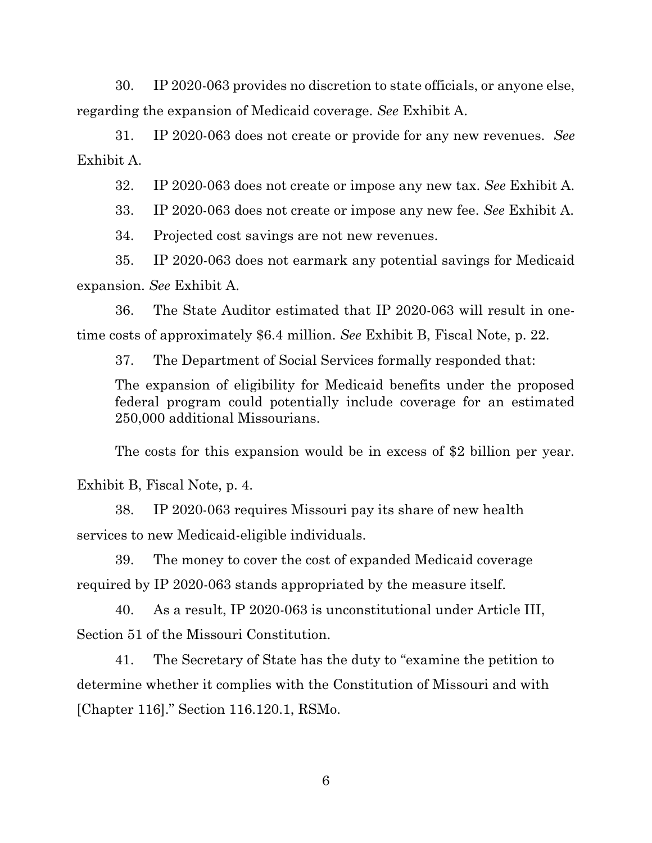30. IP 2020-063 provides no discretion to state officials, or anyone else, regarding the expansion of Medicaid coverage. *See* Exhibit A.

31. IP 2020-063 does not create or provide for any new revenues. *See* Exhibit A.

32. IP 2020-063 does not create or impose any new tax. *See* Exhibit A.

33. IP 2020-063 does not create or impose any new fee. *See* Exhibit A.

34. Projected cost savings are not new revenues.

35. IP 2020-063 does not earmark any potential savings for Medicaid expansion. *See* Exhibit A.

36. The State Auditor estimated that IP 2020-063 will result in onetime costs of approximately \$6.4 million. *See* Exhibit B, Fiscal Note, p. 22.

37. The Department of Social Services formally responded that:

The expansion of eligibility for Medicaid benefits under the proposed federal program could potentially include coverage for an estimated 250,000 additional Missourians.

The costs for this expansion would be in excess of \$2 billion per year.

Exhibit B, Fiscal Note, p. 4.

38. IP 2020-063 requires Missouri pay its share of new health services to new Medicaid-eligible individuals.

39. The money to cover the cost of expanded Medicaid coverage required by IP 2020-063 stands appropriated by the measure itself.

40. As a result, IP 2020-063 is unconstitutional under Article III, Section 51 of the Missouri Constitution.

41. The Secretary of State has the duty to "examine the petition to determine whether it complies with the Constitution of Missouri and with [Chapter 116]." Section 116.120.1, RSMo.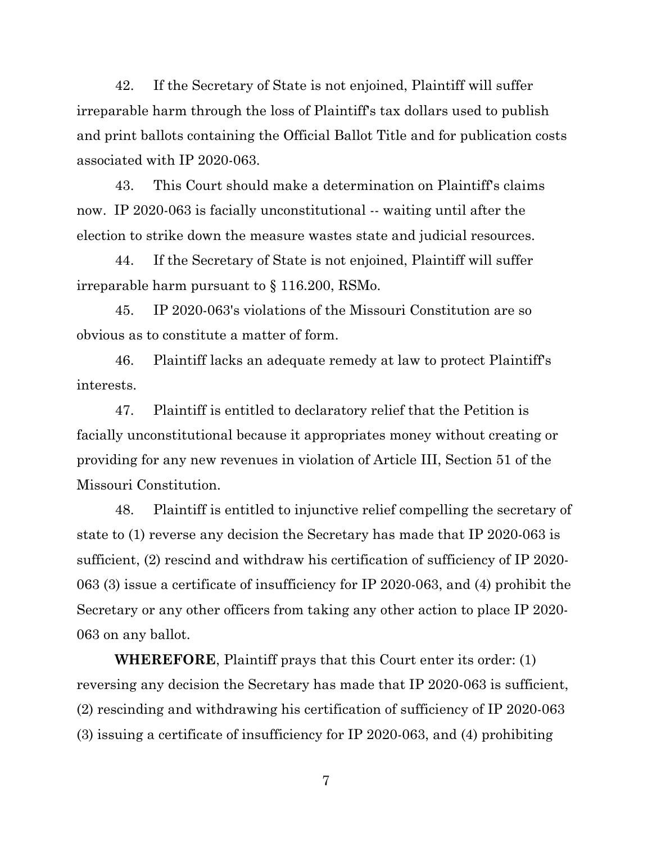42. If the Secretary of State is not enjoined, Plaintiff will suffer irreparable harm through the loss of Plaintiff's tax dollars used to publish and print ballots containing the Official Ballot Title and for publication costs associated with IP 2020-063.

43. This Court should make a determination on Plaintiff's claims now. IP 2020-063 is facially unconstitutional -- waiting until after the election to strike down the measure wastes state and judicial resources.

44. If the Secretary of State is not enjoined, Plaintiff will suffer irreparable harm pursuant to § 116.200, RSMo.

45. IP 2020-063's violations of the Missouri Constitution are so obvious as to constitute a matter of form.

46. Plaintiff lacks an adequate remedy at law to protect Plaintiff's interests.

47. Plaintiff is entitled to declaratory relief that the Petition is facially unconstitutional because it appropriates money without creating or providing for any new revenues in violation of Article III, Section 51 of the Missouri Constitution.

48. Plaintiff is entitled to injunctive relief compelling the secretary of state to (1) reverse any decision the Secretary has made that IP 2020-063 is sufficient, (2) rescind and withdraw his certification of sufficiency of IP 2020- 063 (3) issue a certificate of insufficiency for IP 2020-063, and (4) prohibit the Secretary or any other officers from taking any other action to place IP 2020- 063 on any ballot.

**WHEREFORE**, Plaintiff prays that this Court enter its order: (1) reversing any decision the Secretary has made that IP 2020-063 is sufficient, (2) rescinding and withdrawing his certification of sufficiency of IP 2020-063 (3) issuing a certificate of insufficiency for IP 2020-063, and (4) prohibiting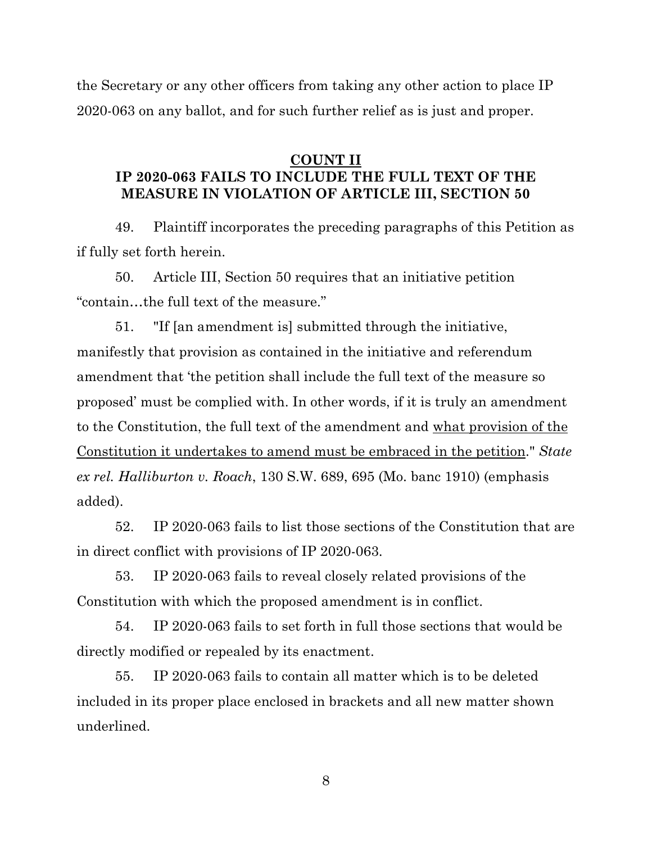the Secretary or any other officers from taking any other action to place IP 2020-063 on any ballot, and for such further relief as is just and proper.

### **COUNT II**

## **IP 2020-063 FAILS TO INCLUDE THE FULL TEXT OF THE MEASURE IN VIOLATION OF ARTICLE III, SECTION 50**

49. Plaintiff incorporates the preceding paragraphs of this Petition as if fully set forth herein.

50. Article III, Section 50 requires that an initiative petition "contain…the full text of the measure."

51. "If [an amendment is] submitted through the initiative, manifestly that provision as contained in the initiative and referendum amendment that 'the petition shall include the full text of the measure so proposed' must be complied with. In other words, if it is truly an amendment to the Constitution, the full text of the amendment and what provision of the Constitution it undertakes to amend must be embraced in the petition." *State ex rel. Halliburton v. Roach*, 130 S.W. 689, 695 (Mo. banc 1910) (emphasis added).

52. IP 2020-063 fails to list those sections of the Constitution that are in direct conflict with provisions of IP 2020-063.

53. IP 2020-063 fails to reveal closely related provisions of the Constitution with which the proposed amendment is in conflict.

54. IP 2020-063 fails to set forth in full those sections that would be directly modified or repealed by its enactment.

55. IP 2020-063 fails to contain all matter which is to be deleted included in its proper place enclosed in brackets and all new matter shown underlined.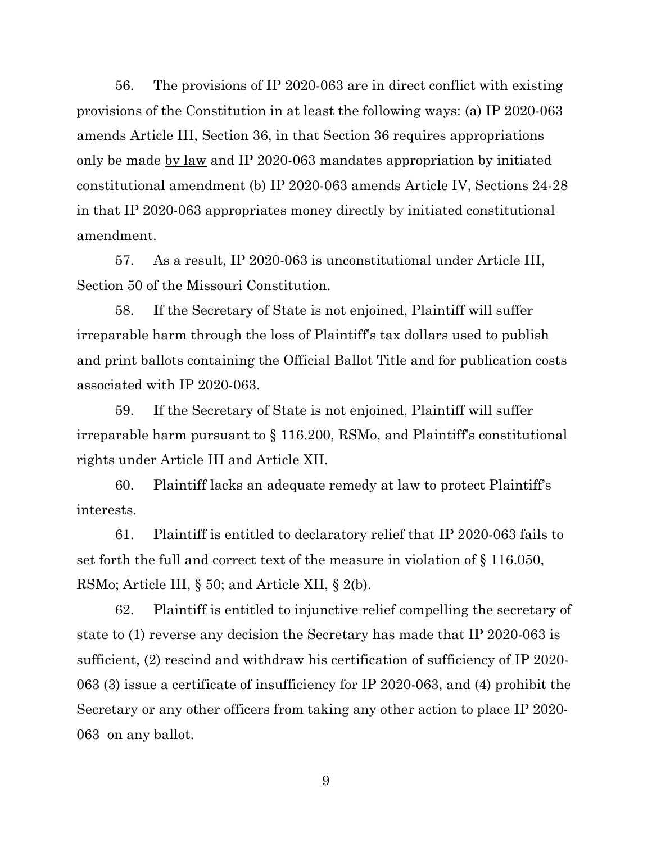56. The provisions of IP 2020-063 are in direct conflict with existing provisions of the Constitution in at least the following ways: (a) IP 2020-063 amends Article III, Section 36, in that Section 36 requires appropriations only be made by law and IP 2020-063 mandates appropriation by initiated constitutional amendment (b) IP 2020-063 amends Article IV, Sections 24-28 in that IP 2020-063 appropriates money directly by initiated constitutional amendment.

57. As a result, IP 2020-063 is unconstitutional under Article III, Section 50 of the Missouri Constitution.

58. If the Secretary of State is not enjoined, Plaintiff will suffer irreparable harm through the loss of Plaintiff's tax dollars used to publish and print ballots containing the Official Ballot Title and for publication costs associated with IP 2020-063.

59. If the Secretary of State is not enjoined, Plaintiff will suffer irreparable harm pursuant to § 116.200, RSMo, and Plaintiff's constitutional rights under Article III and Article XII.

60. Plaintiff lacks an adequate remedy at law to protect Plaintiff's interests.

61. Plaintiff is entitled to declaratory relief that IP 2020-063 fails to set forth the full and correct text of the measure in violation of § 116.050, RSMo; Article III, § 50; and Article XII, § 2(b).

62. Plaintiff is entitled to injunctive relief compelling the secretary of state to (1) reverse any decision the Secretary has made that IP 2020-063 is sufficient, (2) rescind and withdraw his certification of sufficiency of IP 2020- 063 (3) issue a certificate of insufficiency for IP 2020-063, and (4) prohibit the Secretary or any other officers from taking any other action to place IP 2020- 063 on any ballot.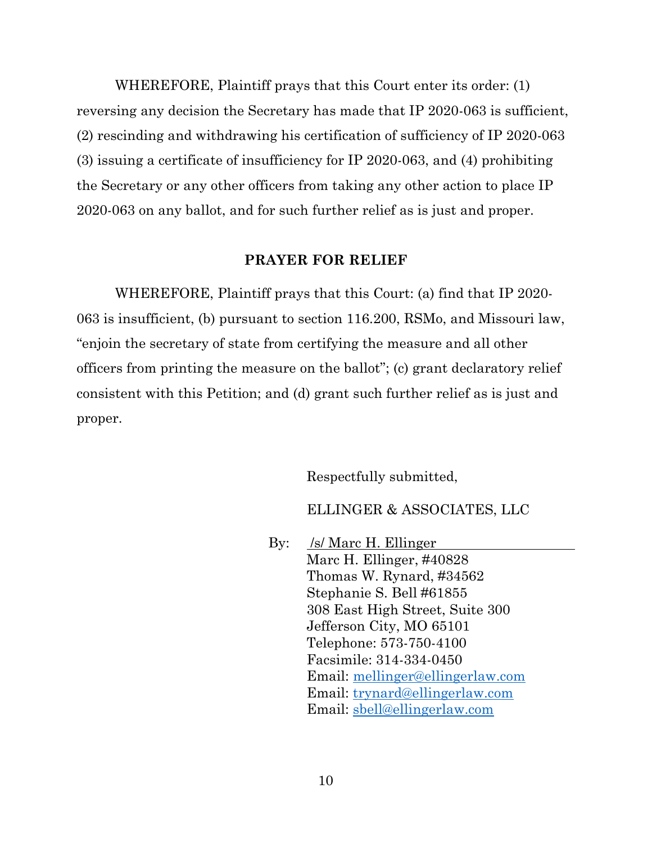WHEREFORE, Plaintiff prays that this Court enter its order: (1) reversing any decision the Secretary has made that IP 2020-063 is sufficient, (2) rescinding and withdrawing his certification of sufficiency of IP 2020-063 (3) issuing a certificate of insufficiency for IP 2020-063, and (4) prohibiting the Secretary or any other officers from taking any other action to place IP 2020-063 on any ballot, and for such further relief as is just and proper.

#### **PRAYER FOR RELIEF**

WHEREFORE, Plaintiff prays that this Court: (a) find that IP 2020- 063 is insufficient, (b) pursuant to section 116.200, RSMo, and Missouri law, "enjoin the secretary of state from certifying the measure and all other officers from printing the measure on the ballot"; (c) grant declaratory relief consistent with this Petition; and (d) grant such further relief as is just and proper.

Respectfully submitted,

ELLINGER & ASSOCIATES, LLC

By: /s/ Marc H. Ellinger Marc H. Ellinger, #40828 Thomas W. Rynard, #34562 Stephanie S. Bell #61855 308 East High Street, Suite 300 Jefferson City, MO 65101 Telephone: 573-750-4100 Facsimile: 314-334-0450 Email: [mellinger@ellingerlaw.com](mailto:mellinger@ellingerlaw.com) Email: [trynard@ellingerlaw.com](mailto:trynard@ellingerlaw.com) Email: [sbell@ellingerlaw.com](mailto:sbell@ellingerlaw.com)